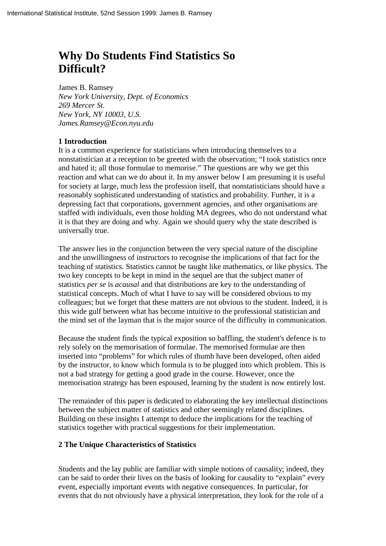# **Why Do Students Find Statistics So Difficult?**

James B. Ramsey *New York University, Dept. of Economics 269 Mercer St. New York, NY 10003, U.S. James.Ramsey@Econ.nyu.edu*

### **1 Introduction**

It is a common experience for statisticians when introducing themselves to a nonstatistician at a reception to be greeted with the observation; "I took statistics once and hated it; all those formulae to memorise." The questions are why we get this reaction and what can we do about it. In my answer below I am presuming it is useful for society at large, much less the profession itself, that nonstatisticians should have a reasonably sophisticated understanding of statistics and probability. Further, it is a depressing fact that corporations, government agencies, and other organisations are staffed with individuals, even those holding MA degrees, who do not understand what it is that they are doing and why. Again we should query why the state described is universally true.

The answer lies in the conjunction between the very special nature of the discipline and the unwillingness of instructors to recognise the implications of that fact for the teaching of statistics. Statistics cannot be taught like mathematics, or like physics. The two key concepts to be kept in mind in the sequel are that the subject matter of statistics *per se* is *acausal* and that distributions are key to the understanding of statistical concepts. Much of what I have to say will be considered obvious to my colleagues; but we forget that these matters are not obvious to the student. Indeed, it is this wide gulf between what has become intuitive to the professional statistician and the mind set of the layman that is the major source of the difficulty in communication.

Because the student finds the typical exposition so baffling, the student's defence is to rely solely on the memorisation of formulae. The memorised formulae are then inserted into "problems" for which rules of thumb have been developed, often aided by the instructor, to know which formula is to be plugged into which problem. This is not a bad strategy for getting a good grade in the course. However, once the memorisation strategy has been espoused, learning by the student is now entirely lost.

The remainder of this paper is dedicated to elaborating the key intellectual distinctions between the subject matter of statistics and other seemingly related disciplines. Building on these insights I attempt to deduce the implications for the teaching of statistics together with practical suggestions for their implementation.

#### **2 The Unique Characteristics of Statistics**

Students and the lay public are familiar with simple notions of causality; indeed, they can be said to order their lives on the basis of looking for causality to "explain" every event, especially important events with negative consequences. In particular, for events that do not obviously have a physical interpretation, they look for the role of a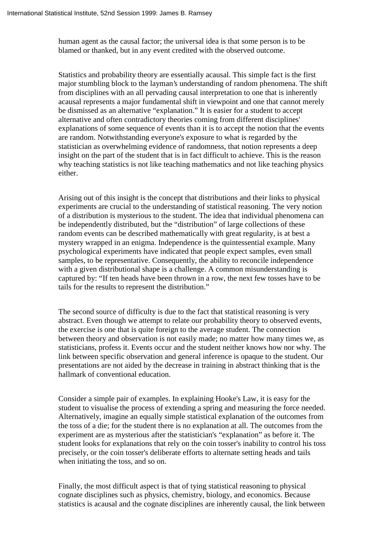human agent as the causal factor; the universal idea is that some person is to be blamed or thanked, but in any event credited with the observed outcome.

Statistics and probability theory are essentially acausal. This simple fact is the first major stumbling block to the layman's understanding of random phenomena. The shift from disciplines with an all pervading causal interpretation to one that is inherently acausal represents a major fundamental shift in viewpoint and one that cannot merely be dismissed as an alternative "explanation." It is easier for a student to accept alternative and often contradictory theories coming from different disciplines' explanations of some sequence of events than it is to accept the notion that the events are random. Notwithstanding everyone's exposure to what is regarded by the statistician as overwhelming evidence of randomness, that notion represents a deep insight on the part of the student that is in fact difficult to achieve. This is the reason why teaching statistics is not like teaching mathematics and not like teaching physics either.

Arising out of this insight is the concept that distributions and their links to physical experiments are crucial to the understanding of statistical reasoning. The very notion of a distribution is mysterious to the student. The idea that individual phenomena can be independently distributed, but the "distribution" of large collections of these random events can be described mathematically with great regularity, is at best a mystery wrapped in an enigma. Independence is the quintessential example. Many psychological experiments have indicated that people expect samples, even small samples, to be representative. Consequently, the ability to reconcile independence with a given distributional shape is a challenge. A common misunderstanding is captured by: "If ten heads have been thrown in a row, the next few tosses have to be tails for the results to represent the distribution."

The second source of difficulty is due to the fact that statistical reasoning is very abstract. Even though we attempt to relate our probability theory to observed events, the exercise is one that is quite foreign to the average student. The connection between theory and observation is not easily made; no matter how many times we, as statisticians, profess it. Events occur and the student neither knows how nor why. The link between specific observation and general inference is opaque to the student. Our presentations are not aided by the decrease in training in abstract thinking that is the hallmark of conventional education.

Consider a simple pair of examples. In explaining Hooke's Law, it is easy for the student to visualise the process of extending a spring and measuring the force needed. Alternatively, imagine an equally simple statistical explanation of the outcomes from the toss of a die; for the student there is no explanation at all. The outcomes from the experiment are as mysterious after the statistician's "explanation" as before it. The student looks for explanations that rely on the coin tosser's inability to control his toss precisely, or the coin tosser's deliberate efforts to alternate setting heads and tails when initiating the toss, and so on.

Finally, the most difficult aspect is that of tying statistical reasoning to physical cognate disciplines such as physics, chemistry, biology, and economics. Because statistics is acausal and the cognate disciplines are inherently causal, the link between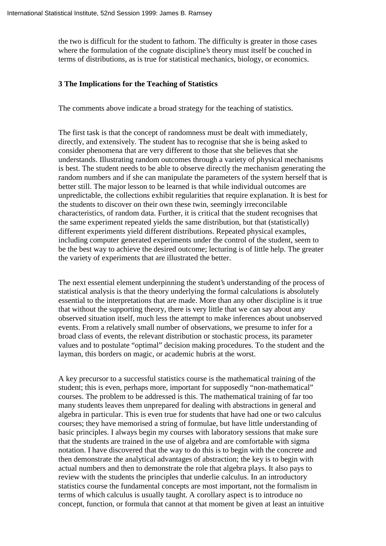the two is difficult for the student to fathom. The difficulty is greater in those cases where the formulation of the cognate discipline's theory must itself be couched in terms of distributions, as is true for statistical mechanics, biology, or economics.

#### **3 The Implications for the Teaching of Statistics**

The comments above indicate a broad strategy for the teaching of statistics.

The first task is that the concept of randomness must be dealt with immediately, directly, and extensively. The student has to recognise that she is being asked to consider phenomena that are very different to those that she believes that she understands. Illustrating random outcomes through a variety of physical mechanisms is best. The student needs to be able to observe directly the mechanism generating the random numbers and if she can manipulate the parameters of the system herself that is better still. The major lesson to be learned is that while individual outcomes are unpredictable, the collections exhibit regularities that require explanation. It is best for the students to discover on their own these twin, seemingly irreconcilable characteristics, of random data. Further, it is critical that the student recognises that the same experiment repeated yields the same distribution, but that (statistically) different experiments yield different distributions. Repeated physical examples, including computer generated experiments under the control of the student, seem to be the best way to achieve the desired outcome; lecturing is of little help. The greater the variety of experiments that are illustrated the better.

The next essential element underpinning the student's understanding of the process of statistical analysis is that the theory underlying the formal calculations is absolutely essential to the interpretations that are made. More than any other discipline is it true that without the supporting theory, there is very little that we can say about any observed situation itself, much less the attempt to make inferences about unobserved events. From a relatively small number of observations, we presume to infer for a broad class of events, the relevant distribution or stochastic process, its parameter values and to postulate "optimal" decision making procedures. To the student and the layman, this borders on magic, or academic hubris at the worst.

A key precursor to a successful statistics course is the mathematical training of the student; this is even, perhaps more, important for supposedly "non-mathematical" courses. The problem to be addressed is this. The mathematical training of far too many students leaves them unprepared for dealing with abstractions in general and algebra in particular. This is even true for students that have had one or two calculus courses; they have memorised a string of formulae, but have little understanding of basic principles. I always begin my courses with laboratory sessions that make sure that the students are trained in the use of algebra and are comfortable with sigma notation. I have discovered that the way to do this is to begin with the concrete and then demonstrate the analytical advantages of abstraction; the key is to begin with actual numbers and then to demonstrate the role that algebra plays. It also pays to review with the students the principles that underlie calculus. In an introductory statistics course the fundamental concepts are most important, not the formalism in terms of which calculus is usually taught. A corollary aspect is to introduce no concept, function, or formula that cannot at that moment be given at least an intuitive